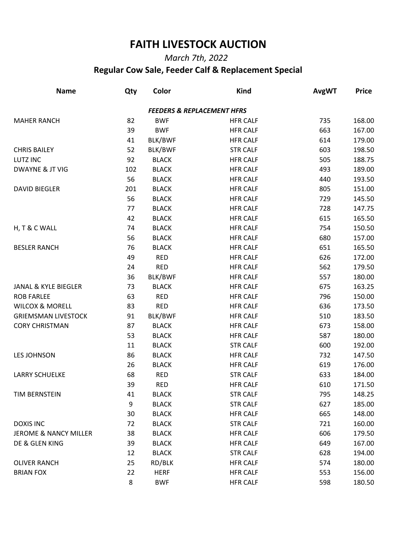## **FAITH LIVESTOCK AUCTION**

## *March 7th, 2022*  **Regular Cow Sale, Feeder Calf & Replacement Special**

| <b>Name</b>                      | Qty | Color        | <b>Kind</b>                           | <b>AvgWT</b> | <b>Price</b> |
|----------------------------------|-----|--------------|---------------------------------------|--------------|--------------|
|                                  |     |              | <b>FEEDERS &amp; REPLACEMENT HFRS</b> |              |              |
| <b>MAHER RANCH</b>               | 82  | <b>BWF</b>   | <b>HFR CALF</b>                       | 735          | 168.00       |
|                                  | 39  | <b>BWF</b>   | <b>HFR CALF</b>                       | 663          | 167.00       |
|                                  | 41  | BLK/BWF      | <b>HFR CALF</b>                       | 614          | 179.00       |
| <b>CHRIS BAILEY</b>              | 52  | BLK/BWF      | <b>STR CALF</b>                       | 603          | 198.50       |
| <b>LUTZ INC</b>                  | 92  | <b>BLACK</b> | <b>HFR CALF</b>                       | 505          | 188.75       |
| <b>DWAYNE &amp; JT VIG</b>       | 102 | <b>BLACK</b> | <b>HFR CALF</b>                       | 493          | 189.00       |
|                                  | 56  | <b>BLACK</b> | <b>HFR CALF</b>                       | 440          | 193.50       |
| <b>DAVID BIEGLER</b>             | 201 | <b>BLACK</b> | <b>HFR CALF</b>                       | 805          | 151.00       |
|                                  | 56  | <b>BLACK</b> | <b>HFR CALF</b>                       | 729          | 145.50       |
|                                  | 77  | <b>BLACK</b> | <b>HFR CALF</b>                       | 728          | 147.75       |
|                                  | 42  | <b>BLACK</b> | <b>HFR CALF</b>                       | 615          | 165.50       |
| H, T & C WALL                    | 74  | <b>BLACK</b> | <b>HFR CALF</b>                       | 754          | 150.50       |
|                                  | 56  | <b>BLACK</b> | <b>HFR CALF</b>                       | 680          | 157.00       |
| <b>BESLER RANCH</b>              | 76  | <b>BLACK</b> | <b>HFR CALF</b>                       | 651          | 165.50       |
|                                  | 49  | <b>RED</b>   | <b>HFR CALF</b>                       | 626          | 172.00       |
|                                  | 24  | <b>RED</b>   | <b>HFR CALF</b>                       | 562          | 179.50       |
|                                  | 36  | BLK/BWF      | <b>HFR CALF</b>                       | 557          | 180.00       |
| JANAL & KYLE BIEGLER             | 73  | <b>BLACK</b> | <b>HFR CALF</b>                       | 675          | 163.25       |
| <b>ROB FARLEE</b>                | 63  | <b>RED</b>   | <b>HFR CALF</b>                       | 796          | 150.00       |
| <b>WILCOX &amp; MORELL</b>       | 83  | <b>RED</b>   | <b>HFR CALF</b>                       | 636          | 173.50       |
| <b>GRIEMSMAN LIVESTOCK</b>       | 91  | BLK/BWF      | <b>HFR CALF</b>                       | 510          | 183.50       |
| <b>CORY CHRISTMAN</b>            | 87  | <b>BLACK</b> | <b>HFR CALF</b>                       | 673          | 158.00       |
|                                  | 53  | <b>BLACK</b> | <b>HFR CALF</b>                       | 587          | 180.00       |
|                                  | 11  | <b>BLACK</b> | <b>STR CALF</b>                       | 600          | 192.00       |
| <b>LES JOHNSON</b>               | 86  | <b>BLACK</b> | <b>HFR CALF</b>                       | 732          | 147.50       |
|                                  | 26  | <b>BLACK</b> | <b>HFR CALF</b>                       | 619          | 176.00       |
| <b>LARRY SCHUELKE</b>            | 68  | <b>RED</b>   | <b>STR CALF</b>                       | 633          | 184.00       |
|                                  | 39  | <b>RED</b>   | <b>HFR CALF</b>                       | 610          | 171.50       |
| TIM BERNSTEIN                    | 41  | <b>BLACK</b> | <b>STR CALF</b>                       | 795          | 148.25       |
|                                  | 9   | <b>BLACK</b> | <b>STR CALF</b>                       | 627          | 185.00       |
|                                  | 30  | <b>BLACK</b> | <b>HFR CALF</b>                       | 665          | 148.00       |
| <b>DOXIS INC</b>                 | 72  | <b>BLACK</b> | <b>STR CALF</b>                       | 721          | 160.00       |
| <b>JEROME &amp; NANCY MILLER</b> | 38  | <b>BLACK</b> | <b>HFR CALF</b>                       | 606          | 179.50       |
| DE & GLEN KING                   | 39  | <b>BLACK</b> | <b>HFR CALF</b>                       | 649          | 167.00       |
|                                  | 12  | <b>BLACK</b> | <b>STR CALF</b>                       | 628          | 194.00       |
| <b>OLIVER RANCH</b>              | 25  | RD/BLK       | <b>HFR CALF</b>                       | 574          | 180.00       |
| <b>BRIAN FOX</b>                 | 22  | <b>HERF</b>  | <b>HFR CALF</b>                       | 553          | 156.00       |
|                                  | 8   | <b>BWF</b>   | <b>HFR CALF</b>                       | 598          | 180.50       |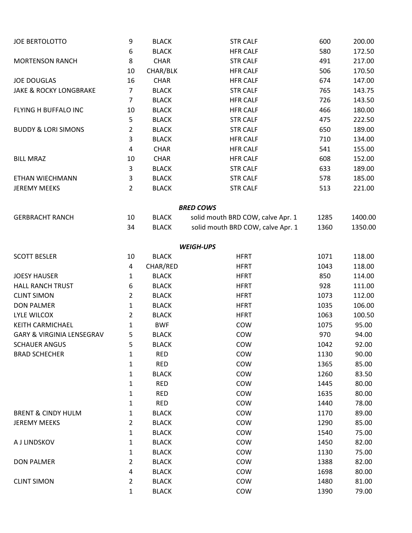| <b>JOE BERTOLOTTO</b>                | 9                       | <b>BLACK</b> | <b>STR CALF</b>                   | 600  | 200.00  |
|--------------------------------------|-------------------------|--------------|-----------------------------------|------|---------|
|                                      | 6                       | <b>BLACK</b> | <b>HFR CALF</b>                   | 580  | 172.50  |
| <b>MORTENSON RANCH</b>               | 8                       | <b>CHAR</b>  | <b>STR CALF</b>                   | 491  | 217.00  |
|                                      | 10                      | CHAR/BLK     | <b>HFR CALF</b>                   | 506  | 170.50  |
| <b>JOE DOUGLAS</b>                   | 16                      | <b>CHAR</b>  | <b>HFR CALF</b>                   | 674  | 147.00  |
| <b>JAKE &amp; ROCKY LONGBRAKE</b>    | $\overline{7}$          | <b>BLACK</b> | <b>STR CALF</b>                   | 765  | 143.75  |
|                                      | $\overline{7}$          | <b>BLACK</b> | <b>HFR CALF</b>                   | 726  | 143.50  |
| FLYING H BUFFALO INC                 | 10                      | <b>BLACK</b> | <b>HFR CALF</b>                   | 466  | 180.00  |
|                                      | 5                       | <b>BLACK</b> | <b>STR CALF</b>                   | 475  | 222.50  |
| <b>BUDDY &amp; LORI SIMONS</b>       | $\overline{2}$          | <b>BLACK</b> | <b>STR CALF</b>                   | 650  | 189.00  |
|                                      | 3                       | <b>BLACK</b> | <b>HFR CALF</b>                   | 710  | 134.00  |
|                                      | $\overline{\mathbf{4}}$ | <b>CHAR</b>  | <b>HFR CALF</b>                   | 541  | 155.00  |
| <b>BILL MRAZ</b>                     | 10                      | <b>CHAR</b>  | <b>HFR CALF</b>                   | 608  | 152.00  |
|                                      | $\mathsf{3}$            | <b>BLACK</b> | <b>STR CALF</b>                   | 633  | 189.00  |
| ETHAN WIECHMANN                      | 3                       | <b>BLACK</b> | <b>STR CALF</b>                   | 578  | 185.00  |
| <b>JEREMY MEEKS</b>                  | $\overline{2}$          | <b>BLACK</b> | <b>STR CALF</b>                   | 513  | 221.00  |
|                                      |                         |              | <b>BRED COWS</b>                  |      |         |
| <b>GERBRACHT RANCH</b>               | 10                      | <b>BLACK</b> | solid mouth BRD COW, calve Apr. 1 | 1285 | 1400.00 |
|                                      | 34                      | <b>BLACK</b> | solid mouth BRD COW, calve Apr. 1 | 1360 | 1350.00 |
|                                      |                         |              | <b>WEIGH-UPS</b>                  |      |         |
| <b>SCOTT BESLER</b>                  | 10                      | <b>BLACK</b> | <b>HFRT</b>                       | 1071 | 118.00  |
|                                      | 4                       | CHAR/RED     | <b>HFRT</b>                       | 1043 | 118.00  |
| <b>JOESY HAUSER</b>                  | 1                       | <b>BLACK</b> | <b>HFRT</b>                       | 850  | 114.00  |
| <b>HALL RANCH TRUST</b>              | 6                       | <b>BLACK</b> | <b>HFRT</b>                       | 928  | 111.00  |
| <b>CLINT SIMON</b>                   | $\overline{2}$          | <b>BLACK</b> | <b>HFRT</b>                       | 1073 | 112.00  |
| <b>DON PALMER</b>                    | $\mathbf{1}$            | <b>BLACK</b> | <b>HFRT</b>                       | 1035 | 106.00  |
| <b>LYLE WILCOX</b>                   | 2                       | <b>BLACK</b> | <b>HFRT</b>                       | 1063 | 100.50  |
| KEITH CARMICHAEL                     | 1                       | <b>BWF</b>   | COW                               | 1075 | 95.00   |
| <b>GARY &amp; VIRGINIA LENSEGRAV</b> | 5                       | <b>BLACK</b> | COW                               | 970  | 94.00   |
| <b>SCHAUER ANGUS</b>                 | 5                       | <b>BLACK</b> | COW                               | 1042 | 92.00   |
| <b>BRAD SCHECHER</b>                 | 1                       | <b>RED</b>   | COW                               | 1130 | 90.00   |
|                                      | 1                       | <b>RED</b>   | COW                               | 1365 | 85.00   |
|                                      | 1                       | <b>BLACK</b> | COW                               | 1260 | 83.50   |
|                                      | $\mathbf 1$             | <b>RED</b>   | COW                               | 1445 | 80.00   |
|                                      | 1                       | <b>RED</b>   | COW                               | 1635 | 80.00   |
|                                      | 1                       | <b>RED</b>   | COW                               | 1440 | 78.00   |
| <b>BRENT &amp; CINDY HULM</b>        | 1                       | <b>BLACK</b> | COW                               | 1170 | 89.00   |
| <b>JEREMY MEEKS</b>                  | 2                       | <b>BLACK</b> | COW                               | 1290 | 85.00   |
|                                      | $\mathbf 1$             | <b>BLACK</b> | COW                               | 1540 | 75.00   |
| A J LINDSKOV                         | 1                       | <b>BLACK</b> | COW                               | 1450 | 82.00   |
|                                      | 1                       | <b>BLACK</b> | COW                               | 1130 | 75.00   |
| <b>DON PALMER</b>                    | 2                       | <b>BLACK</b> | COW                               | 1388 | 82.00   |
|                                      | 4                       | <b>BLACK</b> | COW                               | 1698 | 80.00   |
| <b>CLINT SIMON</b>                   | 2                       | <b>BLACK</b> | COW                               | 1480 | 81.00   |
|                                      | 1                       | <b>BLACK</b> | COW                               | 1390 | 79.00   |